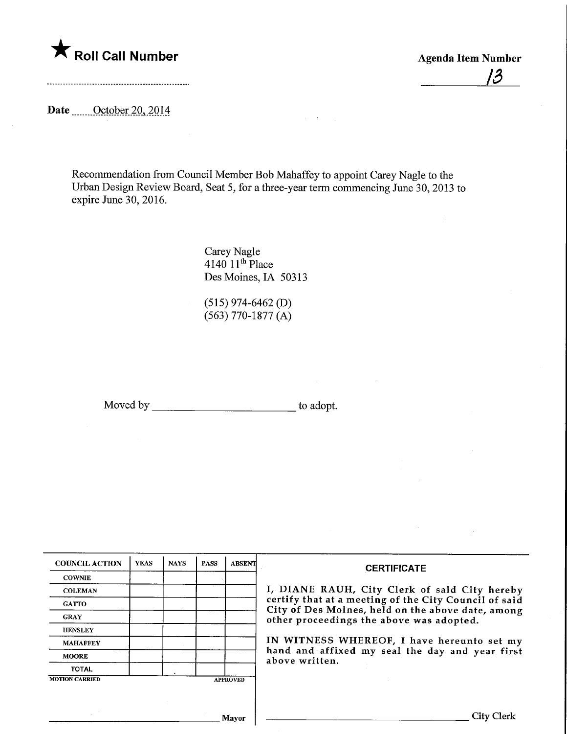

 $\overline{\mathcal{B}}$ 

Date <u>October 20, 2014</u>

Recommendation from Council Member Bob Mahaffey to appoint Carey Nagle to the Urban Design Review Board, Seat 5, for a three-year term commencing June 30, 2013 to expire June 30, 2016.

> Carey Nagle 4140 11th Place Des Moines, IA 50313

(515) 974-6462 (D) (563) 770-1877 (A)

Moved by to adopt.

| <b>COUNCIL ACTION</b> | <b>YEAS</b> | <b>NAYS</b> | <b>PASS</b> | <b>ABSENT</b>   | <b>CERTIFICATE</b>                                                                            |
|-----------------------|-------------|-------------|-------------|-----------------|-----------------------------------------------------------------------------------------------|
| <b>COWNIE</b>         |             |             |             |                 |                                                                                               |
| <b>COLEMAN</b>        |             |             |             |                 | I, DIANE RAUH, City Clerk of said City hereby                                                 |
| <b>GATTO</b>          |             |             |             |                 | certify that at a meeting of the City Council of said                                         |
| <b>GRAY</b>           |             |             |             |                 | City of Des Moines, held on the above date, among<br>other proceedings the above was adopted. |
| <b>HENSLEY</b>        |             |             |             |                 |                                                                                               |
| <b>MAHAFFEY</b>       |             |             |             |                 | IN WITNESS WHEREOF, I have hereunto set my                                                    |
| <b>MOORE</b>          |             |             |             |                 | hand and affixed my seal the day and year first<br>above written.                             |
| <b>TOTAL</b>          |             |             |             |                 |                                                                                               |
| <b>MOTION CARRIED</b> |             |             |             | <b>APPROVED</b> |                                                                                               |
|                       |             |             |             |                 |                                                                                               |
|                       |             |             |             |                 |                                                                                               |
|                       |             |             |             | Mavor           | <b>City Clerk</b>                                                                             |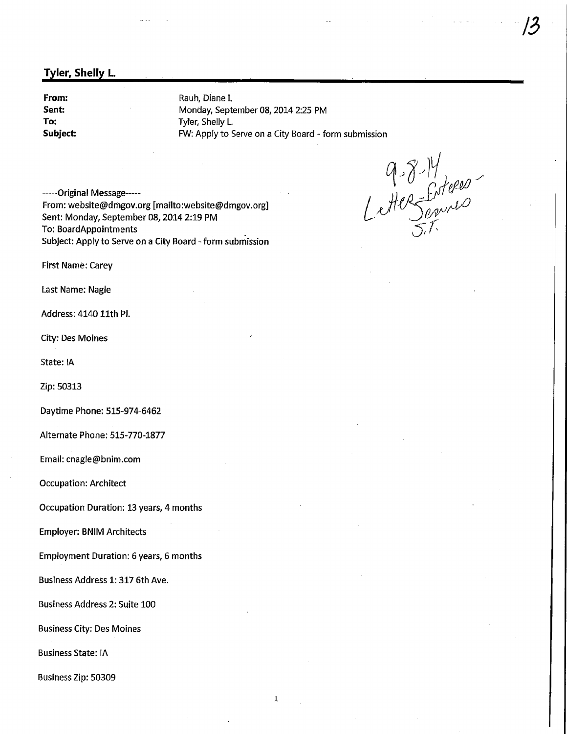## Tyler, Shelly L.

From: Sent: To: Subject: Rauh, Diane I. Monday, September 08, 2014 2:25 PM Tyler, Shelly L. FW: Apply to Serve on a City Board - form submission

G  $1.8 - 14$  $\leq 7$ 

13

------Original Message-----From: website@dmgov.org ; [mailto:website@dmgov.org] Sent: Monday, September 08, 2014 2:19 PM To: BoardAppointments Subject: Apply to Serve on a City Board - form submission

First Name: Carey

Last Name: Nagle

Address: 4140 11th Pl.

City: Des Moines

State: IA

Zip: 50313

Daytime Phone: 515-974-6462

Alternate Phone: 515-770-1877

Email: cnagle@bnim.com

Occupation: Architect

Occupation Duration: 13 years, 4 months

Employer: BNIM Architects

Employment Duration: 6 years, 6 months

Business Address 1:317 6th Ave.

Business Address 2: Suite 100

Business City: Des Moines

Business State: IA

Business Zip: 50309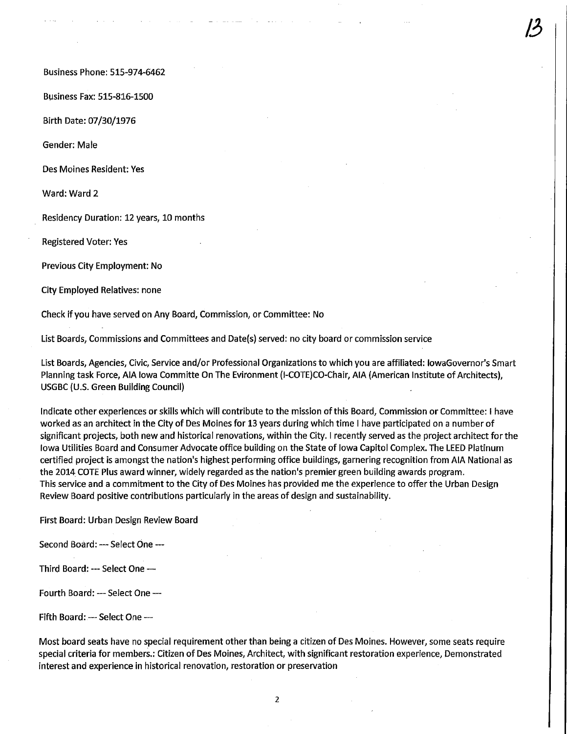Business Phone: 515-974-6462

Business Fax: 515-816-1500

Birth Date: 07/30/1976

Gender: Male

Des Moines Resident: Yes

Ward: Ward 2

Residency Duration: 12 years, 10 months

Registered Voter: Yes

Previous City Employment: No

City Employed Relatives: none

Check if you have served on Any Board, Commission, or Committee: No

List Boards, Commissions and Committees and Date(s) served: no city board or commission service

List Boards, Agencies, Civic, Service and/or Professional Organizations to which you are affiliated: lowaGovernor's Smart Planning task Force, AIA Iowa Committe On The Evironment (l-COTE)CO-Chair, AIA (American Institute of Architects), US6BC (U.S. Green Building Council)

 $\mathcal{B}$ 

Indicate other experiences or skills which will contribute to the mission of this Board, Commission or Committee: I have worked as an architect in the City of Des Moines for 13 years during which time I have participated on a number of significant projects, both new and historical renovations, within the City. I recently served as the project architect for the Iowa Utilities Board and Consumer Advocate office building on the State of Iowa Capitol Complex. The LEED Platinum certified project is amongst the nation's highest performing office buildings, garnering recognition from AIA National as the 2014 COTE Plus award winner, widely regarded as the nation's premier green building awards program. This service and a commitment to the City of Des Moines has provided me the experience to offer the Urban Design Review Board positive contributions particularly in the areas of design and sustainability.

First Board: Urban Design Review Board

Second Board: ---- Select One ---

Third Board: — Select One -

Fourth Board: — Select One —

Fifth Board: — Select One —

Most board seats have no special requirement other than being a citizen of Des Moines. However, some seats require special criteria for members.: Citizen of Des Moines, Architect, with significant restoration experience, Demonstrated interest and experience in historical renovation, restoration or preservation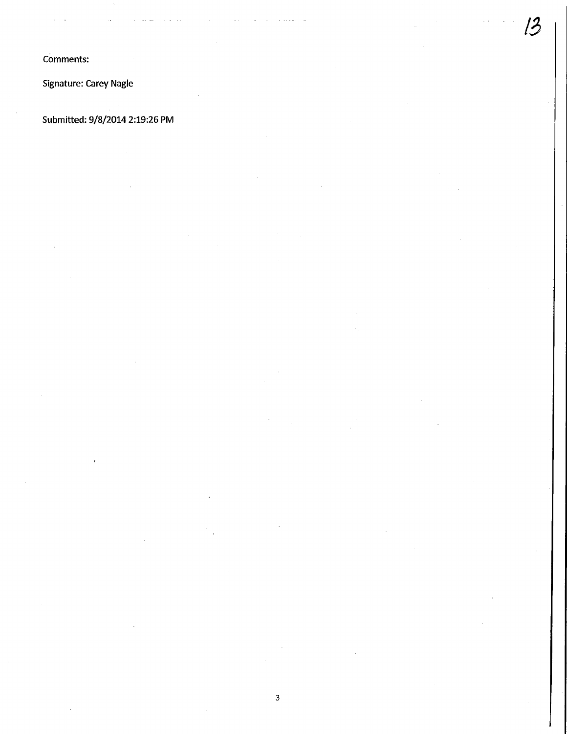Comments:

Signature: Carey Nagle

Submitted: 9/8/2014 2:19:26 PM

,3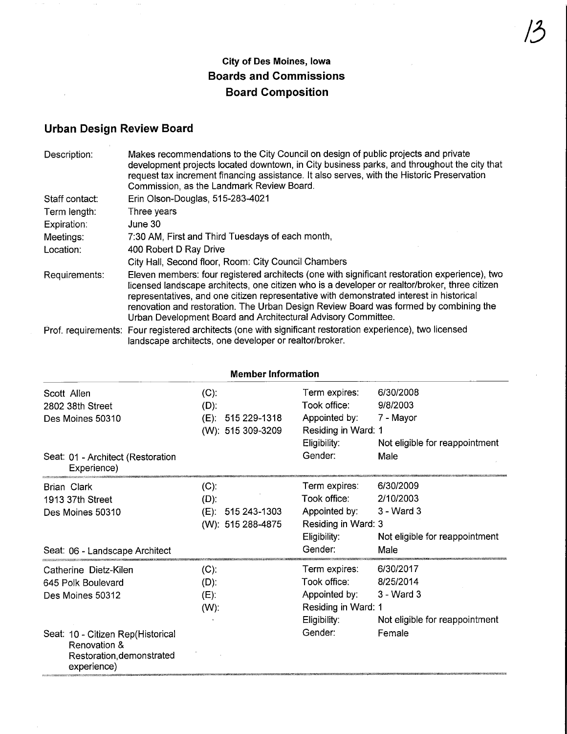## City of Des Moines, Iowa Boards and Commissions Board Composition

## Urban Design Review Board

 $\sim$   $\mu$ 

 $\bar{z}$ 

| Description:   | Makes recommendations to the City Council on design of public projects and private<br>development projects located downtown, in City business parks, and throughout the city that<br>request tax increment financing assistance. It also serves, with the Historic Preservation<br>Commission, as the Landmark Review Board.                                                                                                                          |
|----------------|-------------------------------------------------------------------------------------------------------------------------------------------------------------------------------------------------------------------------------------------------------------------------------------------------------------------------------------------------------------------------------------------------------------------------------------------------------|
| Staff contact: | Erin Olson-Douglas, 515-283-4021                                                                                                                                                                                                                                                                                                                                                                                                                      |
| Term length:   | Three years                                                                                                                                                                                                                                                                                                                                                                                                                                           |
| Expiration:    | June 30                                                                                                                                                                                                                                                                                                                                                                                                                                               |
| Meetings:      | 7:30 AM, First and Third Tuesdays of each month,                                                                                                                                                                                                                                                                                                                                                                                                      |
| Location:      | 400 Robert D Ray Drive                                                                                                                                                                                                                                                                                                                                                                                                                                |
|                | City Hall, Second floor, Room: City Council Chambers                                                                                                                                                                                                                                                                                                                                                                                                  |
| Requirements:  | Eleven members: four registered architects (one with significant restoration experience), two<br>licensed landscape architects, one citizen who is a developer or realtor/broker, three citizen<br>representatives, and one citizen representative with demonstrated interest in historical<br>renovation and restoration. The Urban Design Review Board was formed by combining the<br>Urban Development Board and Architectural Advisory Committee. |
|                | Brof, requirements: Four registered architects (ano with significant restoration experience), two licensed                                                                                                                                                                                                                                                                                                                                            |

Prof. requirements: Four registered architects (one with significant restoration experience), two licensed landscape architects, one developer or realtor/broker.

| <b>Member Information</b>                         |                         |                     |                                |  |  |
|---------------------------------------------------|-------------------------|---------------------|--------------------------------|--|--|
| Scott Allen                                       | $(C)$ :                 | Term expires:       | 6/30/2008                      |  |  |
| 2802 38th Street                                  | $(D)$ :                 | Took office:        | 9/8/2003                       |  |  |
| Des Moines 50310                                  | $(E)$ :<br>515 229-1318 | Appointed by:       | 7 - Mayor                      |  |  |
|                                                   | (W): 515 309-3209       | Residing in Ward: 1 |                                |  |  |
|                                                   |                         | Eligibility:        | Not eligible for reappointment |  |  |
| Seat: 01 - Architect (Restoration<br>Experience)  |                         | Gender:             | Male                           |  |  |
| Brian Clark                                       | $(C)$ :                 | Term expires:       | 6/30/2009                      |  |  |
| 1913 37th Street                                  | $(D)$ :                 | Took office:        | 2/10/2003                      |  |  |
| Des Moines 50310                                  | 515 243-1303<br>$(E)$ : | Appointed by:       | $3 - Ward3$                    |  |  |
|                                                   | (W): 515 288-4875       | Residing in Ward: 3 |                                |  |  |
|                                                   |                         | Eligibility:        | Not eligible for reappointment |  |  |
| Seat: 06 - Landscape Architect                    |                         | Gender:             | Male                           |  |  |
| Catherine Dietz-Kilen                             | $(C)$ :                 | Term expires:       | 6/30/2017                      |  |  |
| 645 Polk Boulevard                                | $(D)$ :                 | Took office:        | 8/25/2014                      |  |  |
| Des Moines 50312                                  | $(E)$ :                 | Appointed by:       | 3 - Ward 3                     |  |  |
|                                                   | $(W)$ :                 | Residing in Ward: 1 |                                |  |  |
|                                                   |                         | Eligibility:        | Not eligible for reappointment |  |  |
| Seat: 10 - Citizen Rep(Historical<br>Renovation & |                         | Gender:             | Female                         |  |  |
| Restoration, demonstrated<br>experience)          |                         |                     |                                |  |  |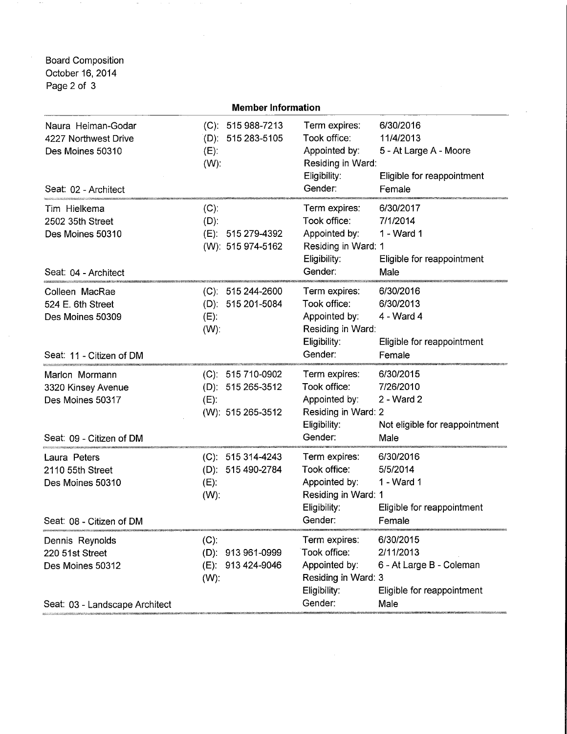Board Composition October 16, 2014 Page 2 of 3

 $\rightarrow$ 

|                                                                                          | <b>Member Information</b>                                                |                                                                                                  |                                                                                          |
|------------------------------------------------------------------------------------------|--------------------------------------------------------------------------|--------------------------------------------------------------------------------------------------|------------------------------------------------------------------------------------------|
| Naura Heiman-Godar<br>4227 Northwest Drive<br>Des Moines 50310<br>Seat: 02 - Architect   | (C): 515 988-7213<br>$(D)$ : 515 283-5105<br>$(E)$ :<br>$(W)$ :          | Term expires:<br>Took office:<br>Appointed by:<br>Residing in Ward:<br>Eligibility:<br>Gender:   | 6/30/2016<br>11/4/2013<br>5 - At Large A - Moore<br>Eligible for reappointment<br>Female |
| Tim Hielkema<br>2502 35th Street<br>Des Moines 50310<br>Seat: 04 - Architect             | $(C)$ :<br>$(D)$ :<br>(E): 515 279-4392<br>(W): 515 974-5162             | Term expires:<br>Took office:<br>Appointed by:<br>Residing in Ward: 1<br>Eligibility:<br>Gender: | 6/30/2017<br>7/1/2014<br>1 - Ward 1<br>Eligible for reappointment<br>Male                |
| Colleen MacRae<br>524 E. 6th Street<br>Des Moines 50309<br>Seat: 11 - Citizen of DM      | $(C): 515244-2600$<br>(D): 515 201-5084<br>$(E)$ :<br>$(W)$ :            | Term expires:<br>Took office:<br>Appointed by:<br>Residing in Ward:<br>Eligibility:<br>Gender:   | 6/30/2016<br>6/30/2013<br>4 - Ward 4<br>Eligible for reappointment<br>Female             |
| Marlon Mormann<br>3320 Kinsey Avenue<br>Des Moines 50317<br>Seat: 09 - Citizen of DM     | (C): 515 710-0902<br>(D): 515 265-3512<br>$(E)$ :<br>(W): 515 265-3512   | Term expires:<br>Took office:<br>Appointed by:<br>Residing in Ward: 2<br>Eligibility:<br>Gender: | 6/30/2015<br>7/26/2010<br>2 - Ward 2<br>Not eligible for reappointment<br>Male           |
| Laura Peters<br>2110 55th Street<br>Des Moines 50310<br>Seat: 08 - Citizen of DM         | $(C): 515314-4243$<br>(D): 515 490-2784<br>$(E)$ :<br>$(W)$ :            | Term expires:<br>Took office:<br>Appointed by:<br>Residing in Ward: 1<br>Eligibility:<br>Gender: | 6/30/2016<br>5/5/2014<br>1 - Ward 1<br>Eligible for reappointment<br>Female              |
| Dennis Reynolds<br>220 51st Street<br>Des Moines 50312<br>Seat: 03 - Landscape Architect | $(C)$ :<br>$(D)$ :<br>913 961-0999<br>913 424-9046<br>$(E)$ :<br>$(W)$ : | Term expires:<br>Took office:<br>Appointed by:<br>Residing in Ward: 3<br>Eligibility:<br>Gender: | 6/30/2015<br>2/11/2013<br>6 - At Large B - Coleman<br>Eligible for reappointment<br>Male |